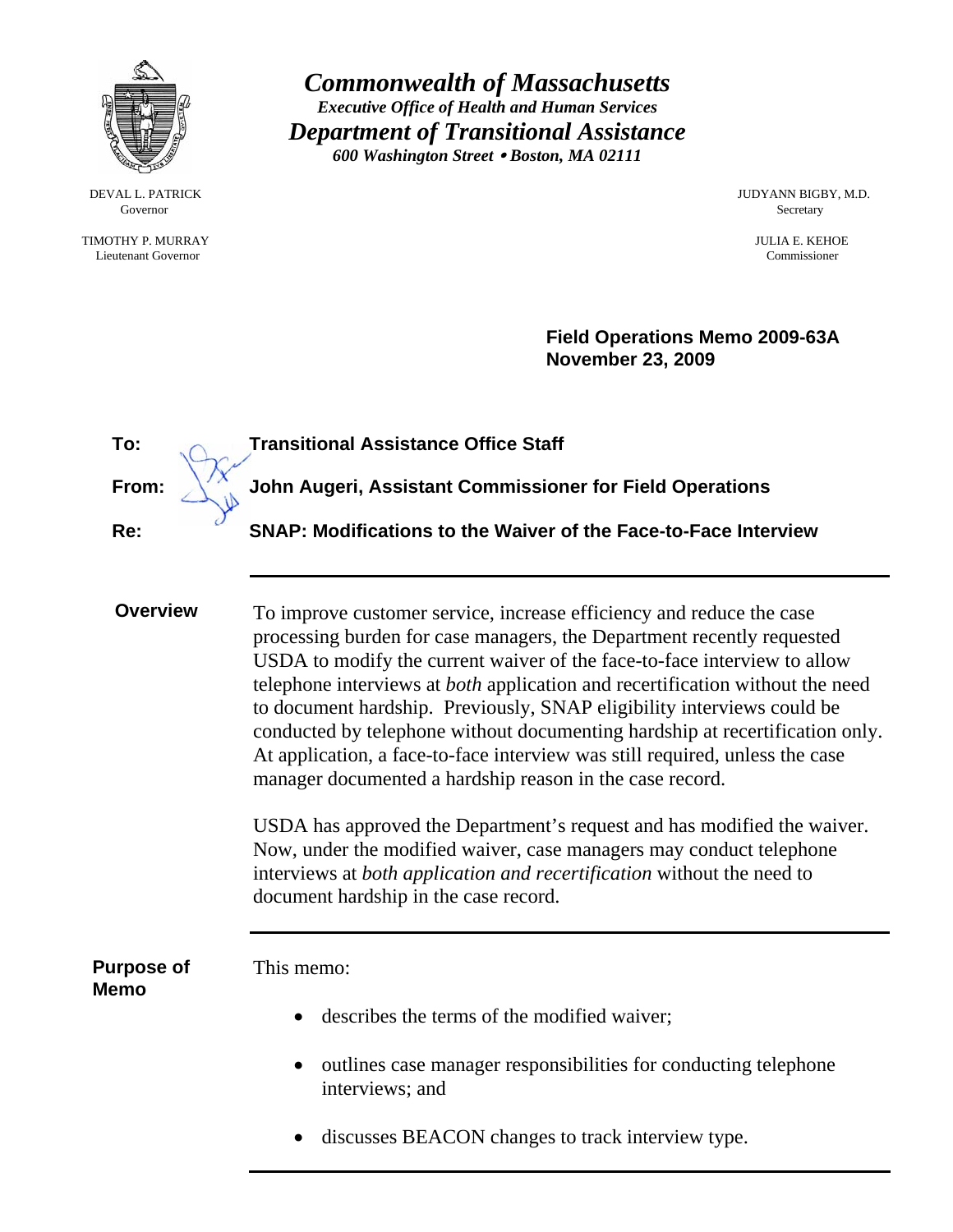

*Commonwealth of Massachusetts Executive Office of Health and Human Services Department of Transitional Assistance 600 Washington Street* y *Boston, MA 02111* 

Governor Secretary Secretary Secretary Secretary Secretary Secretary Secretary Secretary Secretary Secretary Secretary Secretary Secretary Secretary Secretary Secretary Secretary Secretary Secretary Secretary Secretary Sec

 TIMOTHY P. MURRAY JULIA E. KEHOE Lieutenant Governor

DEVAL L. PATRICK JUDYANN BIGBY, M.D.

**Field Operations Memo 2009-63A November 23, 2009**

| To:                              | <b>Transitional Assistance Office Staff</b>                                                                                                                                                                                                                                                                                                                                                                                                                                                                                                                                                                                                                                                                                                                                                                                                                                                   |
|----------------------------------|-----------------------------------------------------------------------------------------------------------------------------------------------------------------------------------------------------------------------------------------------------------------------------------------------------------------------------------------------------------------------------------------------------------------------------------------------------------------------------------------------------------------------------------------------------------------------------------------------------------------------------------------------------------------------------------------------------------------------------------------------------------------------------------------------------------------------------------------------------------------------------------------------|
| From:                            | John Augeri, Assistant Commissioner for Field Operations                                                                                                                                                                                                                                                                                                                                                                                                                                                                                                                                                                                                                                                                                                                                                                                                                                      |
| Re:                              | SNAP: Modifications to the Waiver of the Face-to-Face Interview                                                                                                                                                                                                                                                                                                                                                                                                                                                                                                                                                                                                                                                                                                                                                                                                                               |
| <b>Overview</b>                  | To improve customer service, increase efficiency and reduce the case<br>processing burden for case managers, the Department recently requested<br>USDA to modify the current waiver of the face-to-face interview to allow<br>telephone interviews at <i>both</i> application and recertification without the need<br>to document hardship. Previously, SNAP eligibility interviews could be<br>conducted by telephone without documenting hardship at recertification only.<br>At application, a face-to-face interview was still required, unless the case<br>manager documented a hardship reason in the case record.<br>USDA has approved the Department's request and has modified the waiver.<br>Now, under the modified waiver, case managers may conduct telephone<br>interviews at both application and recertification without the need to<br>document hardship in the case record. |
| <b>Purpose of</b><br><b>Memo</b> | This memo:<br>describes the terms of the modified waiver;<br>outlines case manager responsibilities for conducting telephone<br>interviews; and<br>discusses BEACON changes to track interview type.                                                                                                                                                                                                                                                                                                                                                                                                                                                                                                                                                                                                                                                                                          |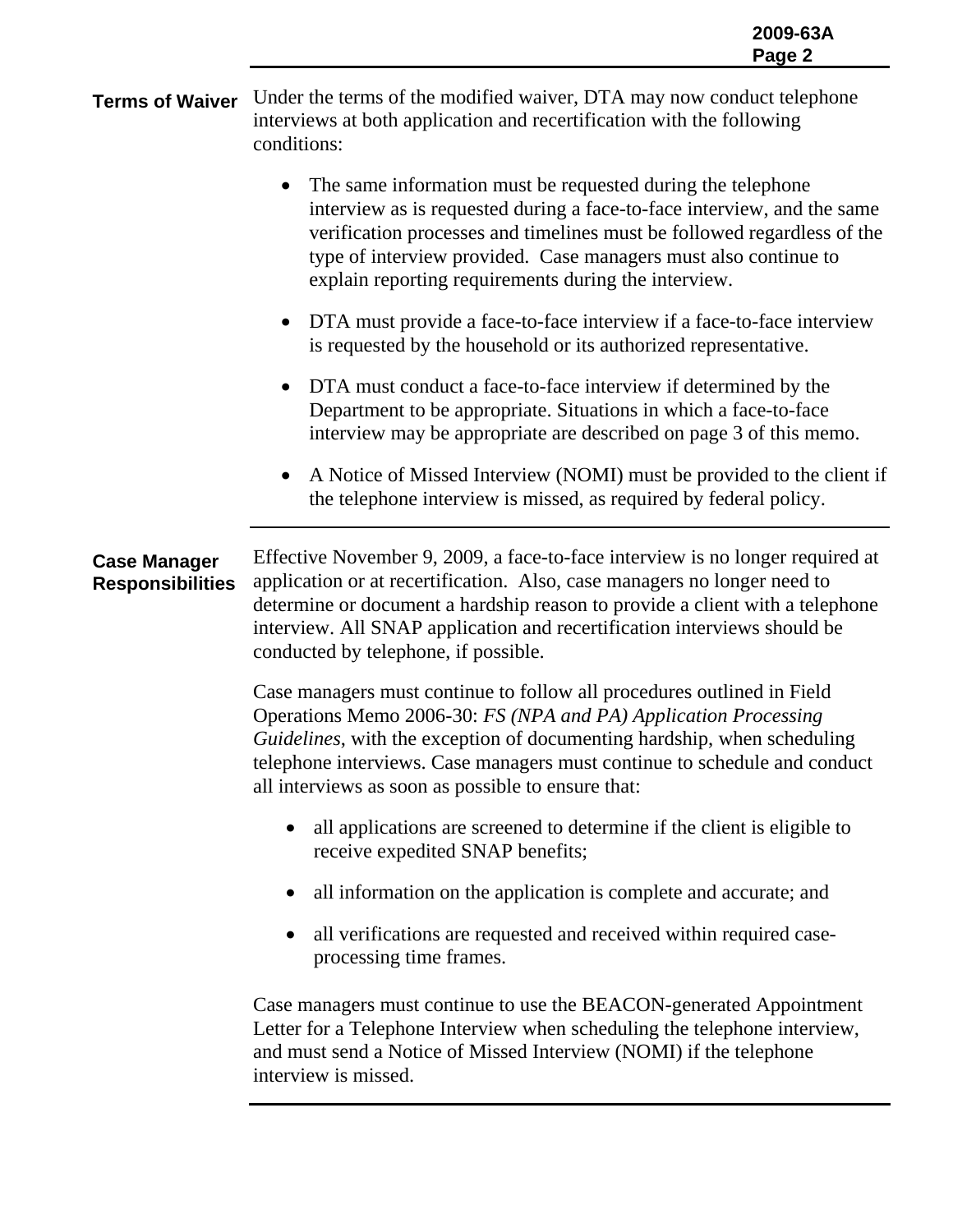**Terms of Waiver** Under the terms of the modified waiver, DTA may now conduct telephone interviews at both application and recertification with the following conditions:

- The same information must be requested during the telephone interview as is requested during a face-to-face interview, and the same verification processes and timelines must be followed regardless of the type of interview provided. Case managers must also continue to explain reporting requirements during the interview.
- DTA must provide a face-to-face interview if a face-to-face interview is requested by the household or its authorized representative.
- DTA must conduct a face-to-face interview if determined by the Department to be appropriate. Situations in which a face-to-face interview may be appropriate are described on page 3 of this memo.
- A Notice of Missed Interview (NOMI) must be provided to the client if the telephone interview is missed, as required by federal policy.

## **Case Manager Responsibilities**  Effective November 9, 2009, a face-to-face interview is no longer required at application or at recertification. Also, case managers no longer need to determine or document a hardship reason to provide a client with a telephone interview. All SNAP application and recertification interviews should be conducted by telephone, if possible.

Case managers must continue to follow all procedures outlined in Field Operations Memo 2006-30: *FS (NPA and PA) Application Processing Guidelines*, with the exception of documenting hardship, when scheduling telephone interviews. Case managers must continue to schedule and conduct all interviews as soon as possible to ensure that:

- all applications are screened to determine if the client is eligible to receive expedited SNAP benefits;
- all information on the application is complete and accurate; and
- all verifications are requested and received within required caseprocessing time frames.

Case managers must continue to use the BEACON-generated Appointment Letter for a Telephone Interview when scheduling the telephone interview, and must send a Notice of Missed Interview (NOMI) if the telephone interview is missed.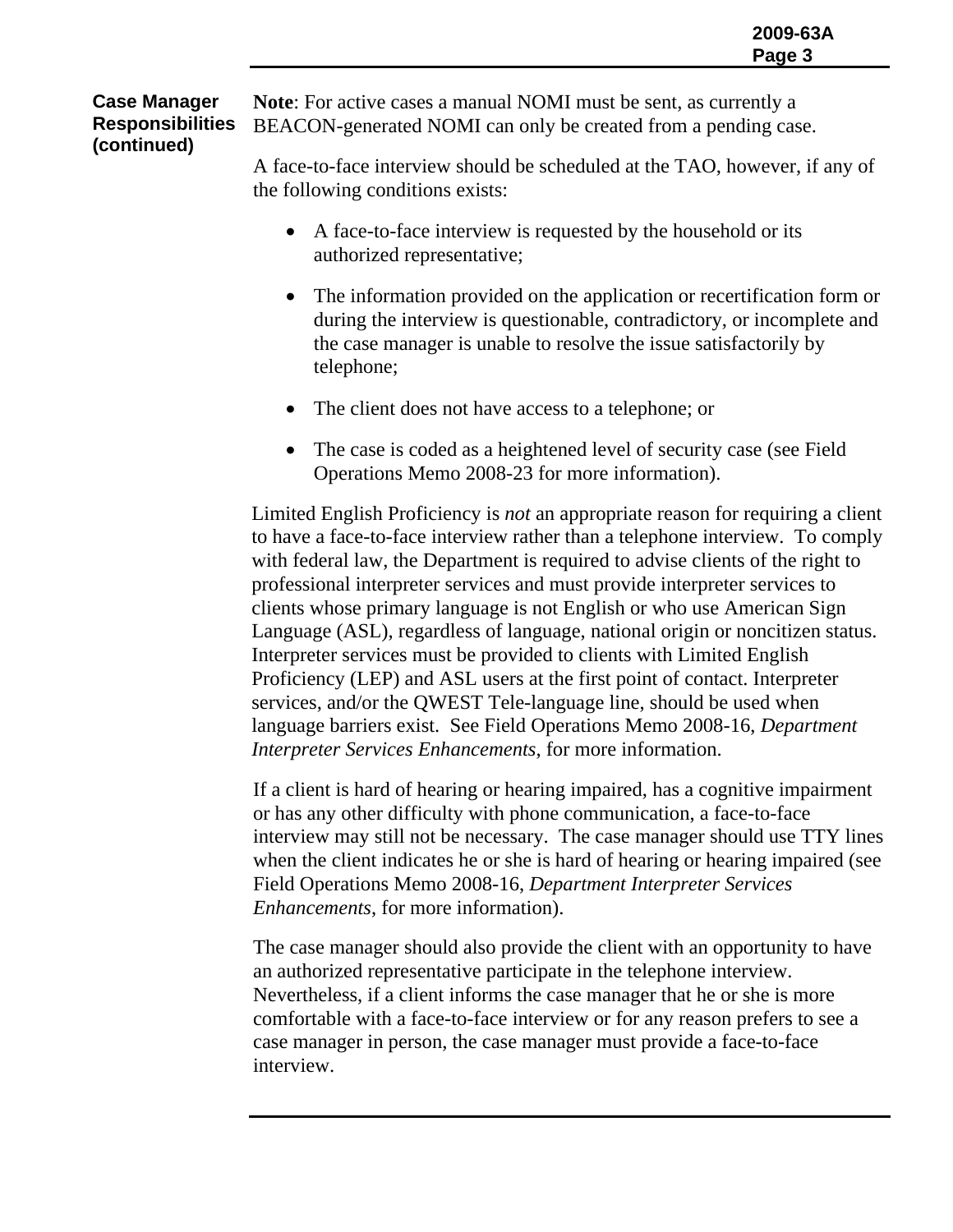**Case Manager Responsibilities (continued) Note**: For active cases a manual NOMI must be sent, as currently a BEACON-generated NOMI can only be created from a pending case.

> A face-to-face interview should be scheduled at the TAO, however, if any of the following conditions exists:

- A face-to-face interview is requested by the household or its authorized representative;
- The information provided on the application or recertification form or during the interview is questionable, contradictory, or incomplete and the case manager is unable to resolve the issue satisfactorily by telephone;
- The client does not have access to a telephone; or
- The case is coded as a heightened level of security case (see Field Operations Memo 2008-23 for more information).

Limited English Proficiency is *not* an appropriate reason for requiring a client to have a face-to-face interview rather than a telephone interview. To comply with federal law, the Department is required to advise clients of the right to professional interpreter services and must provide interpreter services to clients whose primary language is not English or who use American Sign Language (ASL), regardless of language, national origin or noncitizen status. Interpreter services must be provided to clients with Limited English Proficiency (LEP) and ASL users at the first point of contact. Interpreter services, and/or the QWEST Tele-language line, should be used when language barriers exist. See Field Operations Memo 2008-16, *Department Interpreter Services Enhancements*, for more information.

If a client is hard of hearing or hearing impaired, has a cognitive impairment or has any other difficulty with phone communication, a face-to-face interview may still not be necessary. The case manager should use TTY lines when the client indicates he or she is hard of hearing or hearing impaired (see Field Operations Memo 2008-16, *Department Interpreter Services Enhancements*, for more information).

The case manager should also provide the client with an opportunity to have an authorized representative participate in the telephone interview. Nevertheless, if a client informs the case manager that he or she is more comfortable with a face-to-face interview or for any reason prefers to see a case manager in person, the case manager must provide a face-to-face interview.